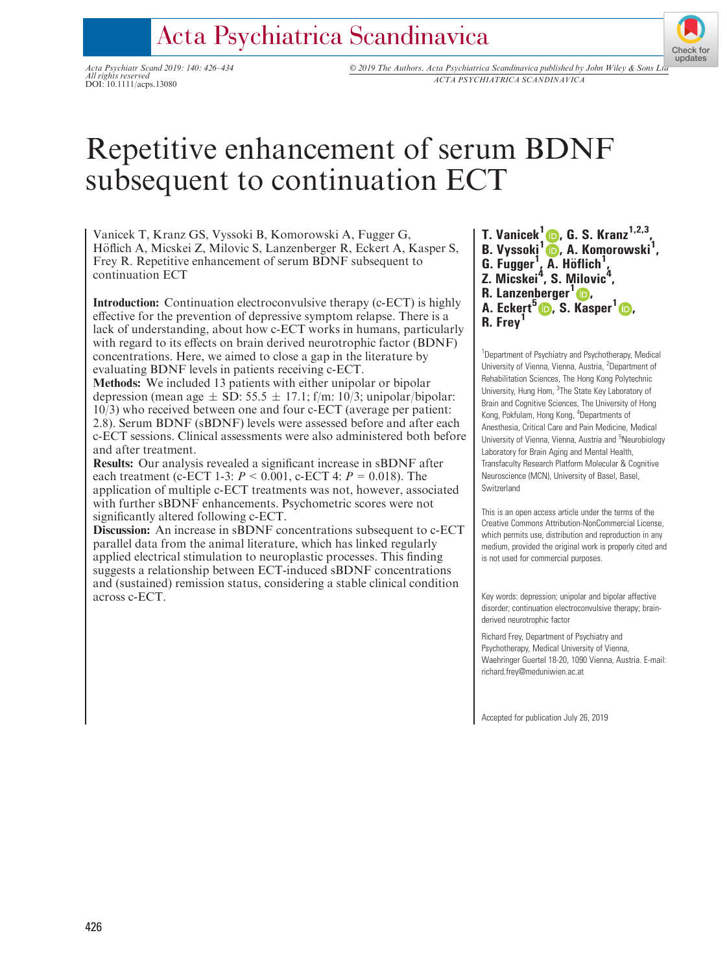## Acta Psychiatrica Scandinavica

All rights reserved

Acta Psychiatr Scand 2019: 140: 426–434 © 2019 The Authors. Acta Psychiatrica Scandinavica published by John Wiley & Sons L[td](http://crossmark.crossref.org/dialog/?doi=10.1111%2Facps.13080&domain=pdf&date_stamp=2019-09-11) All rights reserved<br>DOI: 10.1111/acps.13080<br>DOI: 10.1111/acps.13080

# Repetitive enhancement of serum BDNF subsequent to continuation ECT

Vanicek T, Kranz GS, Vyssoki B, Komorowski A, Fugger G, Höflich A, Micskei Z, Milovic S, Lanzenberger R, Eckert A, Kasper S, Frey R. Repetitive enhancement of serum BDNF subsequent to continuation ECT

Introduction: Continuation electroconvulsive therapy (c-ECT) is highly effective for the prevention of depressive symptom relapse. There is a lack of understanding, about how c-ECT works in humans, particularly with regard to its effects on brain derived neurotrophic factor (BDNF) concentrations. Here, we aimed to close a gap in the literature by evaluating BDNF levels in patients receiving c-ECT.

Methods: We included 13 patients with either unipolar or bipolar depression (mean age  $\pm$  SD: 55.5  $\pm$  17.1; f/m: 10/3; unipolar/bipolar: 10/3) who received between one and four c-ECT (average per patient: 2.8). Serum BDNF (sBDNF) levels were assessed before and after each c-ECT sessions. Clinical assessments were also administered both before and after treatment.

Results: Our analysis revealed a significant increase in sBDNF after each treatment (c-ECT 1-3:  $P < 0.001$ , c-ECT 4:  $P = 0.018$ ). The application of multiple c-ECT treatments was not, however, associated with further sBDNF enhancements. Psychometric scores were not significantly altered following c-ECT.

Discussion: An increase in sBDNF concentrations subsequent to c-ECT parallel data from the animal literature, which has linked regularly applied electrical stimulation to neuroplastic processes. This finding suggests a relationship between ECT-induced sBDNF concentrations and (sustained) remission status, considering a stable clinical condition across c-ECT.

T. Vanicek<sup>1</sup>  $\bullet$ [,](https://orcid.org/0000-0002-5116-9899) G. S. Kranz<sup>1,2,3</sup>, B. Vyssoki<sup>1</sup> D. A. Komorowski<sup>1</sup>[,](https://orcid.org/0000-0003-1195-630X)  $G. Fugger<sup>1</sup>, A. Höflich<sup>1</sup>,$  $G. Fugger<sup>1</sup>, A. Höflich<sup>1</sup>,$  $G. Fugger<sup>1</sup>, A. Höflich<sup>1</sup>,$ Z. Micskei<sup>4</sup>, S. Milovic<sup>4</sup>, R. Lanzenberger $1\text{D}$ . A. Eckert<sup>5</sup> D. S. [Ka](https://orcid.org/0000-0003-4641-9539)sper<sup>1</sup> D.

Check for updates

R. Frev<sup>1</sup>

<sup>1</sup>Department of Psychiatry and Psychotherapy, Medical University of Vienna, Vienna, Austria, <sup>2</sup>Department of Rehabilitation Sciences, The Hong Kong Polytechnic University, Hung Hom, <sup>3</sup>The State Key Laboratory of Brain and Cognitive Sciences, The University of Hong Kong, Pokfulam, Hong Kong, <sup>4</sup>Departments of Anesthesia, Critical Care and Pain Medicine, Medical University of Vienna, Vienna, Austria and <sup>5</sup>Neurobiology Laboratory for Brain Aging and Mental Health, Transfaculty Research Platform Molecular & Cognitive Neuroscience (MCN), University of Basel, Basel, Switzerland

This is an open access article under the terms of the [Creative Commons Attribution-NonCommercial](http://creativecommons.org/licenses/by-nc/4.0/) License, which permits use, distribution and reproduction in any medium, provided the original work is properly cited and is not used for commercial purposes.

Key words: depression; unipolar and bipolar affective disorder; continuation electroconvulsive therapy; brainderived neurotrophic factor

Richard Frey, Department of Psychiatry and Psychotherapy, Medical University of Vienna, Waehringer Guertel 18-20, 1090 Vienna, Austria. E-mail: [richard.frey@meduniwien.ac.at](mailto:)

Accepted for publication July 26, 2019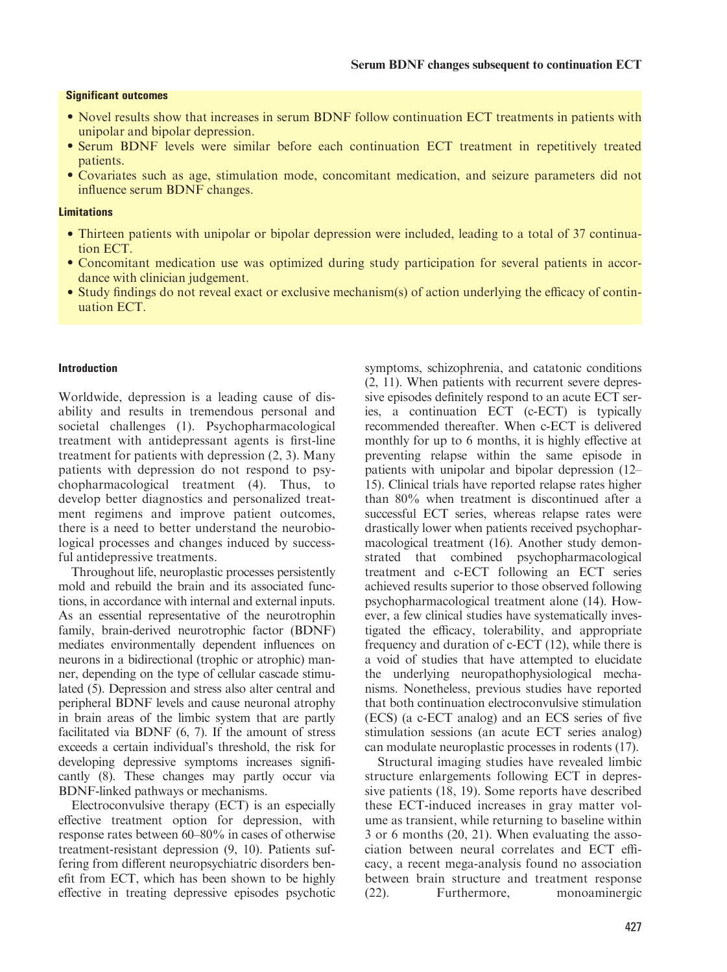## Significant outcomes

- Novel results show that increases in serum BDNF follow continuation ECT treatments in patients with unipolar and bipolar depression.
- Serum BDNF levels were similar before each continuation ECT treatment in repetitively treated patients.
- Covariates such as age, stimulation mode, concomitant medication, and seizure parameters did not influence serum BDNF changes.

## **Limitations**

- Thirteen patients with unipolar or bipolar depression were included, leading to a total of 37 continuation ECT.
- Concomitant medication use was optimized during study participation for several patients in accordance with clinician judgement.
- Study findings do not reveal exact or exclusive mechanism(s) of action underlying the efficacy of continuation ECT.

## Introduction

Worldwide, depression is a leading cause of disability and results in tremendous personal and societal challenges (1). Psychopharmacological treatment with antidepressant agents is first-line treatment for patients with depression (2, 3). Many patients with depression do not respond to psychopharmacological treatment (4). Thus, to develop better diagnostics and personalized treatment regimens and improve patient outcomes, there is a need to better understand the neurobiological processes and changes induced by successful antidepressive treatments.

Throughout life, neuroplastic processes persistently mold and rebuild the brain and its associated functions, in accordance with internal and external inputs. As an essential representative of the neurotrophin family, brain-derived neurotrophic factor (BDNF) mediates environmentally dependent influences on neurons in a bidirectional (trophic or atrophic) manner, depending on the type of cellular cascade stimulated (5). Depression and stress also alter central and peripheral BDNF levels and cause neuronal atrophy in brain areas of the limbic system that are partly facilitated via BDNF (6, 7). If the amount of stress exceeds a certain individual's threshold, the risk for developing depressive symptoms increases significantly (8). These changes may partly occur via BDNF-linked pathways or mechanisms.

Electroconvulsive therapy (ECT) is an especially effective treatment option for depression, with response rates between 60–80% in cases of otherwise treatment-resistant depression (9, 10). Patients suffering from different neuropsychiatric disorders benefit from ECT, which has been shown to be highly effective in treating depressive episodes psychotic symptoms, schizophrenia, and catatonic conditions (2, 11). When patients with recurrent severe depressive episodes definitely respond to an acute ECT series, a continuation ECT (c-ECT) is typically recommended thereafter. When c-ECT is delivered monthly for up to 6 months, it is highly effective at preventing relapse within the same episode in patients with unipolar and bipolar depression (12– 15). Clinical trials have reported relapse rates higher than 80% when treatment is discontinued after a successful ECT series, whereas relapse rates were drastically lower when patients received psychopharmacological treatment (16). Another study demonstrated that combined psychopharmacological treatment and c-ECT following an ECT series achieved results superior to those observed following psychopharmacological treatment alone (14). However, a few clinical studies have systematically investigated the efficacy, tolerability, and appropriate frequency and duration of c-ECT (12), while there is a void of studies that have attempted to elucidate the underlying neuropathophysiological mechanisms. Nonetheless, previous studies have reported that both continuation electroconvulsive stimulation (ECS) (a c-ECT analog) and an ECS series of five stimulation sessions (an acute ECT series analog) can modulate neuroplastic processes in rodents (17).

Structural imaging studies have revealed limbic structure enlargements following ECT in depressive patients (18, 19). Some reports have described these ECT-induced increases in gray matter volume as transient, while returning to baseline within 3 or 6 months (20, 21). When evaluating the association between neural correlates and ECT efficacy, a recent mega-analysis found no association between brain structure and treatment response (22). Furthermore, monoaminergic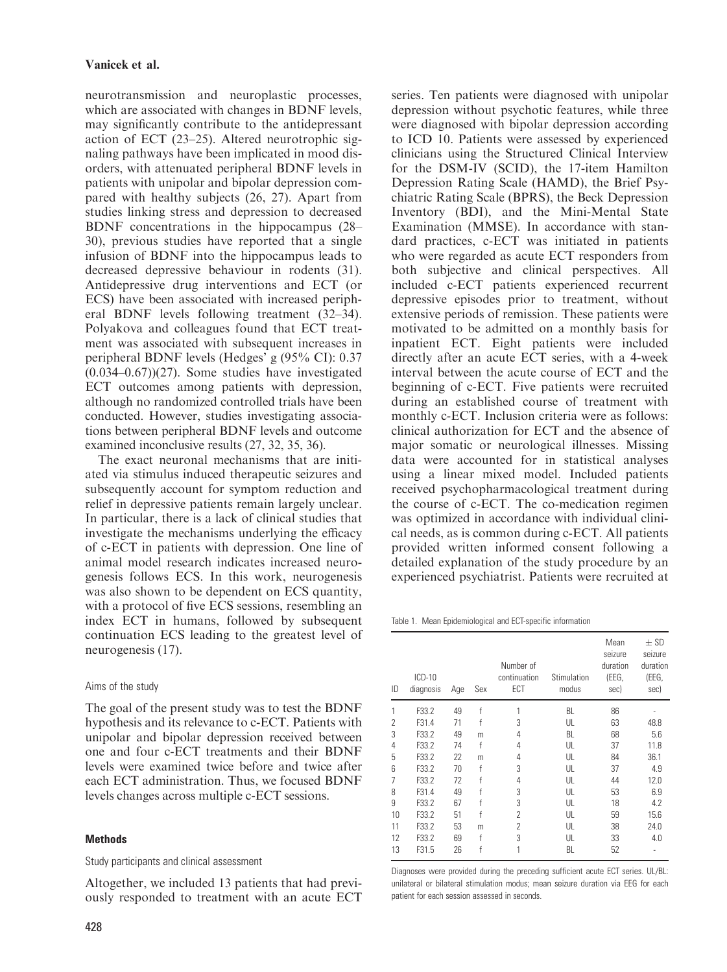neurotransmission and neuroplastic processes, which are associated with changes in BDNF levels, may significantly contribute to the antidepressant action of ECT (23–25). Altered neurotrophic signaling pathways have been implicated in mood disorders, with attenuated peripheral BDNF levels in patients with unipolar and bipolar depression compared with healthy subjects (26, 27). Apart from studies linking stress and depression to decreased BDNF concentrations in the hippocampus (28– 30), previous studies have reported that a single infusion of BDNF into the hippocampus leads to decreased depressive behaviour in rodents (31). Antidepressive drug interventions and ECT (or ECS) have been associated with increased peripheral BDNF levels following treatment (32–34). Polyakova and colleagues found that ECT treatment was associated with subsequent increases in peripheral BDNF levels (Hedges' g (95% CI): 0.37  $(0.034-0.67)(27)$ . Some studies have investigated ECT outcomes among patients with depression, although no randomized controlled trials have been conducted. However, studies investigating associations between peripheral BDNF levels and outcome examined inconclusive results (27, 32, 35, 36).

The exact neuronal mechanisms that are initiated via stimulus induced therapeutic seizures and subsequently account for symptom reduction and relief in depressive patients remain largely unclear. In particular, there is a lack of clinical studies that investigate the mechanisms underlying the efficacy of c-ECT in patients with depression. One line of animal model research indicates increased neurogenesis follows ECS. In this work, neurogenesis was also shown to be dependent on ECS quantity, with a protocol of five ECS sessions, resembling an index ECT in humans, followed by subsequent continuation ECS leading to the greatest level of neurogenesis (17).

## Aims of the study

The goal of the present study was to test the BDNF hypothesis and its relevance to c-ECT. Patients with unipolar and bipolar depression received between one and four c-ECT treatments and their BDNF levels were examined twice before and twice after each ECT administration. Thus, we focused BDNF levels changes across multiple c-ECT sessions.

## Methods

## Study participants and clinical assessment

Altogether, we included 13 patients that had previously responded to treatment with an acute ECT series. Ten patients were diagnosed with unipolar depression without psychotic features, while three were diagnosed with bipolar depression according to ICD 10. Patients were assessed by experienced clinicians using the Structured Clinical Interview for the DSM-IV (SCID), the 17-item Hamilton Depression Rating Scale (HAMD), the Brief Psychiatric Rating Scale (BPRS), the Beck Depression Inventory (BDI), and the Mini-Mental State Examination (MMSE). In accordance with standard practices, c-ECT was initiated in patients who were regarded as acute ECT responders from both subjective and clinical perspectives. All included c-ECT patients experienced recurrent depressive episodes prior to treatment, without extensive periods of remission. These patients were motivated to be admitted on a monthly basis for inpatient ECT. Eight patients were included directly after an acute ECT series, with a 4-week interval between the acute course of ECT and the beginning of c-ECT. Five patients were recruited during an established course of treatment with monthly c-ECT. Inclusion criteria were as follows: clinical authorization for ECT and the absence of major somatic or neurological illnesses. Missing data were accounted for in statistical analyses using a linear mixed model. Included patients received psychopharmacological treatment during the course of c-ECT. The co-medication regimen was optimized in accordance with individual clinical needs, as is common during c-ECT. All patients provided written informed consent following a detailed explanation of the study procedure by an experienced psychiatrist. Patients were recruited at

Table 1. Mean Epidemiological and ECT-specific information

| ID                       | $ICD-10$<br>diagnosis | Age | Sex | Number of<br>continuation<br>ECT | Stimulation<br>modus | Mean<br>seizure<br>duration<br>(EEG,<br>sec) | $\pm$ SD<br>seizure<br>duration<br>(EEG,<br>sec) |
|--------------------------|-----------------------|-----|-----|----------------------------------|----------------------|----------------------------------------------|--------------------------------------------------|
| 1                        | F33.2                 | 49  | f   | 1                                | BL                   | 86                                           |                                                  |
| $\overline{\phantom{a}}$ | F31.4                 | 71  | f   | 3                                | UL                   | 63                                           | 48.8                                             |
| 3                        | F33.2                 | 49  | m   | 4                                | BL                   | 68                                           | 5.6                                              |
| 4                        | F33.2                 | 74  | f   | 4                                | UL                   | 37                                           | 11.8                                             |
| 5                        | F33.2                 | 22  | m   | 4                                | UL                   | 84                                           | 36.1                                             |
| 6                        | F33.2                 | 70  | f   | 3                                | UL                   | 37                                           | 4.9                                              |
| 7                        | F33.2                 | 72  | f   | 4                                | UL                   | 44                                           | 12.0                                             |
| 8                        | F31.4                 | 49  | f   | 3                                | UL                   | 53                                           | 6.9                                              |
| 9                        | F33.2                 | 67  | f   | 3                                | UL                   | 18                                           | 4.2                                              |
| 10                       | F33.2                 | 51  | f   | 2                                | UL                   | 59                                           | 15.6                                             |
| 11                       | F33.2                 | 53  | m   | 2                                | UL                   | 38                                           | 24.0                                             |
| 12                       | F33.2                 | 69  | f   | 3                                | UL                   | 33                                           | 4.0                                              |
| 13                       | F31.5                 | 26  | f   | 1                                | BL                   | 52                                           | ٠                                                |

Diagnoses were provided during the preceding sufficient acute ECT series. UL/BL: unilateral or bilateral stimulation modus; mean seizure duration via EEG for each patient for each session assessed in seconds.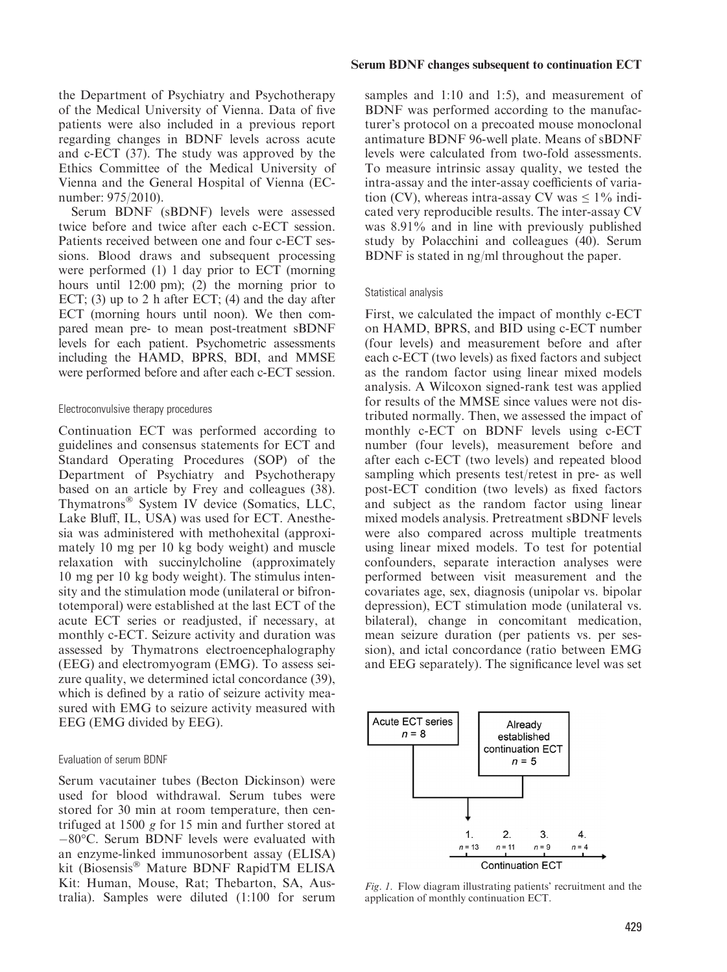the Department of Psychiatry and Psychotherapy of the Medical University of Vienna. Data of five patients were also included in a previous report regarding changes in BDNF levels across acute and c-ECT (37). The study was approved by the Ethics Committee of the Medical University of Vienna and the General Hospital of Vienna (ECnumber: 975/2010).

Serum BDNF (sBDNF) levels were assessed twice before and twice after each c-ECT session. Patients received between one and four c-ECT sessions. Blood draws and subsequent processing were performed (1) 1 day prior to ECT (morning hours until 12:00 pm); (2) the morning prior to ECT;  $(3)$  up to 2 h after ECT;  $(4)$  and the day after ECT (morning hours until noon). We then compared mean pre- to mean post-treatment sBDNF levels for each patient. Psychometric assessments including the HAMD, BPRS, BDI, and MMSE were performed before and after each c-ECT session.

### Electroconvulsive therapy procedures

Continuation ECT was performed according to guidelines and consensus statements for ECT and Standard Operating Procedures (SOP) of the Department of Psychiatry and Psychotherapy based on an article by Frey and colleagues (38). Thymatrons<sup>®</sup> System IV device (Somatics, LLC, Lake Bluff, IL, USA) was used for ECT. Anesthesia was administered with methohexital (approximately 10 mg per 10 kg body weight) and muscle relaxation with succinylcholine (approximately 10 mg per 10 kg body weight). The stimulus intensity and the stimulation mode (unilateral or bifrontotemporal) were established at the last ECT of the acute ECT series or readjusted, if necessary, at monthly c-ECT. Seizure activity and duration was assessed by Thymatrons electroencephalography (EEG) and electromyogram (EMG). To assess seizure quality, we determined ictal concordance (39), which is defined by a ratio of seizure activity measured with EMG to seizure activity measured with EEG (EMG divided by EEG).

## Evaluation of serum BDNF

Serum vacutainer tubes (Becton Dickinson) were used for blood withdrawal. Serum tubes were stored for 30 min at room temperature, then centrifuged at 1500 g for 15 min and further stored at  $-80^{\circ}$ C. Serum BDNF levels were evaluated with an enzyme-linked immunosorbent assay (ELISA) kit (Biosensis<sup>®</sup> Mature BDNF RapidTM ELISA Kit: Human, Mouse, Rat; Thebarton, SA, Australia). Samples were diluted (1:100 for serum

#### Serum BDNF changes subsequent to continuation ECT

samples and 1:10 and 1:5), and measurement of BDNF was performed according to the manufacturer's protocol on a precoated mouse monoclonal antimature BDNF 96-well plate. Means of sBDNF levels were calculated from two-fold assessments. To measure intrinsic assay quality, we tested the intra-assay and the inter-assay coefficients of variation (CV), whereas intra-assay CV was  $\leq 1\%$  indicated very reproducible results. The inter-assay CV was 8.91% and in line with previously published study by Polacchini and colleagues (40). Serum BDNF is stated in ng/ml throughout the paper.

### Statistical analysis

First, we calculated the impact of monthly c-ECT on HAMD, BPRS, and BID using c-ECT number (four levels) and measurement before and after each c-ECT (two levels) as fixed factors and subject as the random factor using linear mixed models analysis. A Wilcoxon signed-rank test was applied for results of the MMSE since values were not distributed normally. Then, we assessed the impact of monthly c-ECT on BDNF levels using c-ECT number (four levels), measurement before and after each c-ECT (two levels) and repeated blood sampling which presents test/retest in pre- as well post-ECT condition (two levels) as fixed factors and subject as the random factor using linear mixed models analysis. Pretreatment sBDNF levels were also compared across multiple treatments using linear mixed models. To test for potential confounders, separate interaction analyses were performed between visit measurement and the covariates age, sex, diagnosis (unipolar vs. bipolar depression), ECT stimulation mode (unilateral vs. bilateral), change in concomitant medication, mean seizure duration (per patients vs. per session), and ictal concordance (ratio between EMG and EEG separately). The significance level was set



Fig. 1. Flow diagram illustrating patients' recruitment and the application of monthly continuation ECT.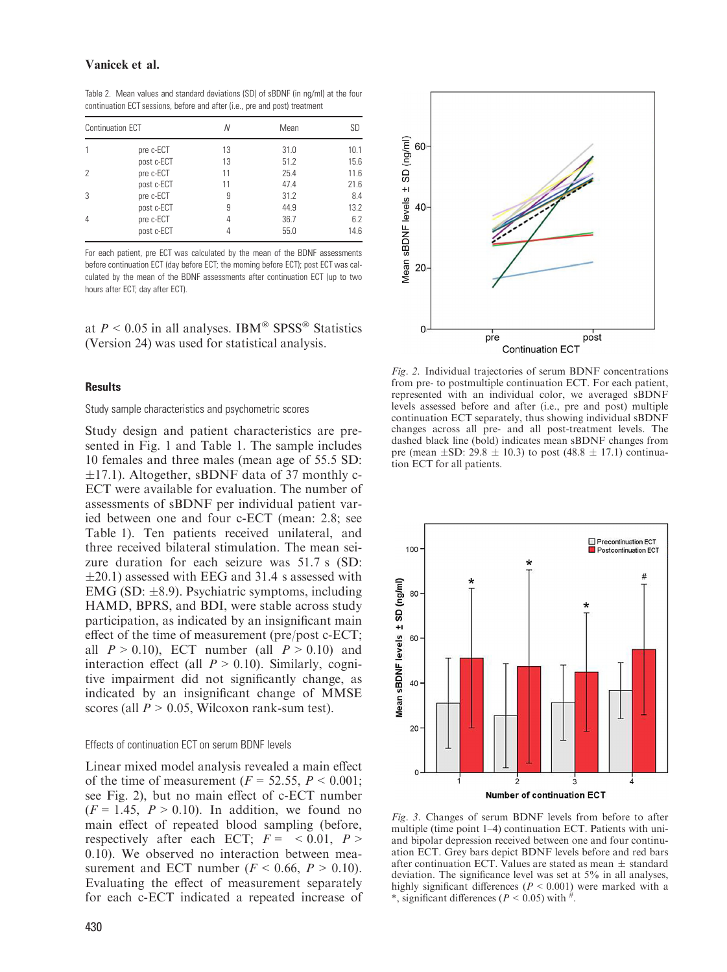## Vanicek et al.

Table 2. Mean values and standard deviations (SD) of sBDNF (in ng/ml) at the four continuation ECT sessions, before and after (i.e., pre and post) treatment

|   | Continuation ECT | Ν  | Mean | SD   |
|---|------------------|----|------|------|
|   | pre c-ECT        | 13 | 31.0 | 10.1 |
|   | post c-ECT       | 13 | 51.2 | 15.6 |
|   | pre c-ECT        | 11 | 25.4 | 11.6 |
|   | post c-ECT       | 11 | 47.4 | 21.6 |
| 3 | pre c-ECT        | 9  | 31.2 | 8.4  |
|   | post c-ECT       | 9  | 44.9 | 13.2 |
| 4 | pre c-ECT        | 4  | 36.7 | 6.2  |
|   | post c-ECT       | 4  | 55.0 | 14.6 |

For each patient, pre ECT was calculated by the mean of the BDNF assessments before continuation ECT (day before ECT; the morning before ECT); post ECT was calculated by the mean of the BDNF assessments after continuation ECT (up to two hours after ECT; day after ECT).

at  $P \le 0.05$  in all analyses. IBM<sup>®</sup> SPSS<sup>®</sup> Statistics (Version 24) was used for statistical analysis.

#### **Results**

#### Study sample characteristics and psychometric scores

Study design and patient characteristics are presented in Fig. 1 and Table 1. The sample includes 10 females and three males (mean age of 55.5 SD:  $\pm$ 17.1). Altogether, sBDNF data of 37 monthly c-ECT were available for evaluation. The number of assessments of sBDNF per individual patient varied between one and four c-ECT (mean: 2.8; see Table 1). Ten patients received unilateral, and three received bilateral stimulation. The mean seizure duration for each seizure was 51.7 s (SD:  $\pm$ 20.1) assessed with EEG and 31.4 s assessed with EMG (SD:  $\pm$ 8.9). Psychiatric symptoms, including HAMD, BPRS, and BDI, were stable across study participation, as indicated by an insignificant main effect of the time of measurement (pre/post c-ECT; all  $P > 0.10$ ), ECT number (all  $P > 0.10$ ) and interaction effect (all  $P > 0.10$ ). Similarly, cognitive impairment did not significantly change, as indicated by an insignificant change of MMSE scores (all  $P > 0.05$ , Wilcoxon rank-sum test).

#### Effects of continuation ECT on serum BDNF levels

Linear mixed model analysis revealed a main effect of the time of measurement ( $F = 52.55$ ,  $P < 0.001$ ; see Fig. 2), but no main effect of c-ECT number  $(F = 1.45, P > 0.10)$ . In addition, we found no main effect of repeated blood sampling (before, respectively after each ECT;  $F = \langle 0.01, P \rangle$ 0.10). We observed no interaction between measurement and ECT number ( $F < 0.66$ ,  $P > 0.10$ ). Evaluating the effect of measurement separately for each c-ECT indicated a repeated increase of



Fig. 2. Individual trajectories of serum BDNF concentrations from pre- to postmultiple continuation ECT. For each patient, represented with an individual color, we averaged sBDNF levels assessed before and after (i.e., pre and post) multiple continuation ECT separately, thus showing individual sBDNF changes across all pre- and all post-treatment levels. The dashed black line (bold) indicates mean sBDNF changes from pre (mean  $\pm$ SD: 29.8  $\pm$  10.3) to post (48.8  $\pm$  17.1) continuation ECT for all patients.



Fig. 3. Changes of serum BDNF levels from before to after multiple (time point 1–4) continuation ECT. Patients with uniand bipolar depression received between one and four continuation ECT. Grey bars depict BDNF levels before and red bars after continuation ECT. Values are stated as mean  $\pm$  standard deviation. The significance level was set at 5% in all analyses, highly significant differences ( $P < 0.001$ ) were marked with a \*, significant differences ( $P < 0.05$ ) with  $\#$ .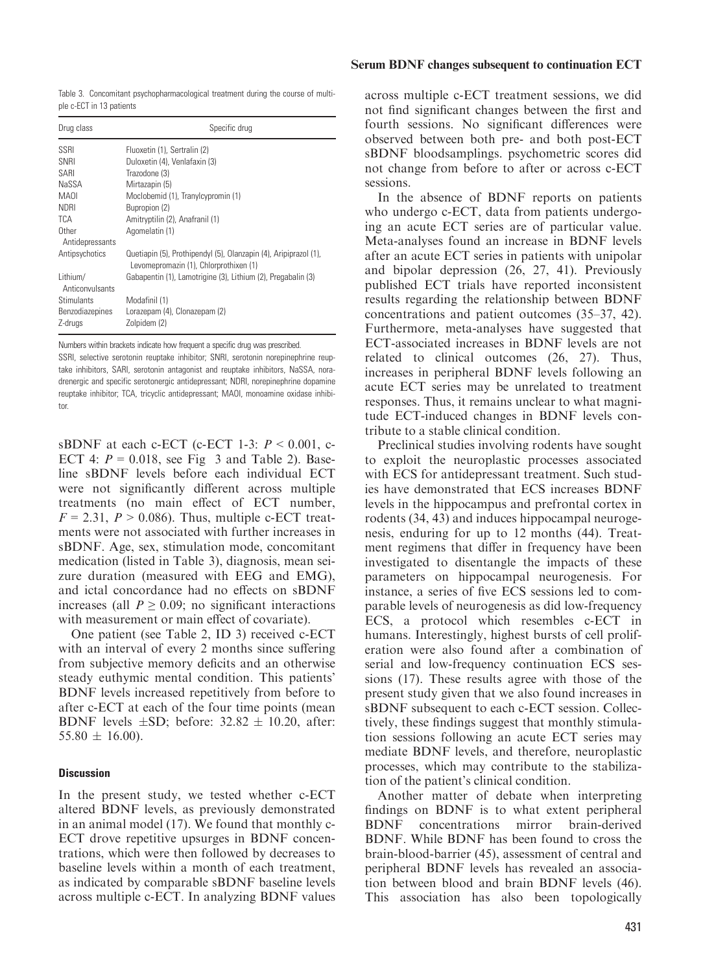Serum BDNF changes subsequent to continuation ECT

Table 3. Concomitant psychopharmacological treatment during the course of multiple c-ECT in 13 patients

| Drug class                  | Specific drug                                                                                              |
|-----------------------------|------------------------------------------------------------------------------------------------------------|
| SSRI                        | Fluoxetin (1), Sertralin (2)                                                                               |
| SNRI                        | Duloxetin (4), Venlafaxin (3)                                                                              |
| SARI                        | Trazodone (3)                                                                                              |
| NaSSA                       | Mirtazapin (5)                                                                                             |
| <b>MAOI</b>                 | Moclobemid (1), Tranylcypromin (1)                                                                         |
| <b>NDRI</b>                 | Bupropion (2)                                                                                              |
| <b>TCA</b>                  | Amitryptilin (2), Anafranil (1)                                                                            |
| Other<br>Antidepressants    | Agomelatin (1)                                                                                             |
| Antipsychotics              | Quetiapin (5), Prothipendyl (5), Olanzapin (4), Aripiprazol (1),<br>Levomepromazin (1), Chlorprothixen (1) |
| Lithium/<br>Anticonvulsants | Gabapentin (1), Lamotrigine (3), Lithium (2), Pregabalin (3)                                               |
| Stimulants                  | Modafinil (1)                                                                                              |
| <b>Benzodiazepines</b>      | Lorazepam (4), Clonazepam (2)                                                                              |
| Z-drugs                     | Zolpidem (2)                                                                                               |

Numbers within brackets indicate how frequent a specific drug was prescribed. SSRI, selective serotonin reuptake inhibitor; SNRI, serotonin norepinephrine reuptake inhibitors, SARI, serotonin antagonist and reuptake inhibitors, NaSSA, noradrenergic and specific serotonergic antidepressant; NDRI, norepinephrine dopamine reuptake inhibitor; TCA, tricyclic antidepressant; MAOI, monoamine oxidase inhibitor.

sBDNF at each c-ECT (c-ECT 1-3:  $P < 0.001$ , c-ECT 4:  $P = 0.018$ , see Fig 3 and Table 2). Baseline sBDNF levels before each individual ECT were not significantly different across multiple treatments (no main effect of ECT number,  $F = 2.31$ ,  $P > 0.086$ . Thus, multiple c-ECT treatments were not associated with further increases in sBDNF. Age, sex, stimulation mode, concomitant medication (listed in Table 3), diagnosis, mean seizure duration (measured with EEG and EMG), and ictal concordance had no effects on sBDNF increases (all  $P \ge 0.09$ ; no significant interactions with measurement or main effect of covariate).

One patient (see Table 2, ID 3) received c-ECT with an interval of every 2 months since suffering from subjective memory deficits and an otherwise steady euthymic mental condition. This patients' BDNF levels increased repetitively from before to after c-ECT at each of the four time points (mean BDNF levels  $\pm$ SD; before: 32.82  $\pm$  10.20, after:  $55.80 \pm 16.00$ ).

## **Discussion**

In the present study, we tested whether c-ECT altered BDNF levels, as previously demonstrated in an animal model (17). We found that monthly c-ECT drove repetitive upsurges in BDNF concentrations, which were then followed by decreases to baseline levels within a month of each treatment, as indicated by comparable sBDNF baseline levels across multiple c-ECT. In analyzing BDNF values

across multiple c-ECT treatment sessions, we did not find significant changes between the first and fourth sessions. No significant differences were observed between both pre- and both post-ECT sBDNF bloodsamplings. psychometric scores did not change from before to after or across c-ECT sessions.

In the absence of BDNF reports on patients who undergo c-ECT, data from patients undergoing an acute ECT series are of particular value. Meta-analyses found an increase in BDNF levels after an acute ECT series in patients with unipolar and bipolar depression (26, 27, 41). Previously published ECT trials have reported inconsistent results regarding the relationship between BDNF concentrations and patient outcomes (35–37, 42). Furthermore, meta-analyses have suggested that ECT-associated increases in BDNF levels are not related to clinical outcomes (26, 27). Thus, increases in peripheral BDNF levels following an acute ECT series may be unrelated to treatment responses. Thus, it remains unclear to what magnitude ECT-induced changes in BDNF levels contribute to a stable clinical condition.

Preclinical studies involving rodents have sought to exploit the neuroplastic processes associated with ECS for antidepressant treatment. Such studies have demonstrated that ECS increases BDNF levels in the hippocampus and prefrontal cortex in rodents (34, 43) and induces hippocampal neurogenesis, enduring for up to 12 months (44). Treatment regimens that differ in frequency have been investigated to disentangle the impacts of these parameters on hippocampal neurogenesis. For instance, a series of five ECS sessions led to comparable levels of neurogenesis as did low-frequency ECS, a protocol which resembles c-ECT in humans. Interestingly, highest bursts of cell proliferation were also found after a combination of serial and low-frequency continuation ECS sessions (17). These results agree with those of the present study given that we also found increases in sBDNF subsequent to each c-ECT session. Collectively, these findings suggest that monthly stimulation sessions following an acute ECT series may mediate BDNF levels, and therefore, neuroplastic processes, which may contribute to the stabilization of the patient's clinical condition.

Another matter of debate when interpreting findings on BDNF is to what extent peripheral BDNF concentrations mirror brain-derived BDNF. While BDNF has been found to cross the brain-blood-barrier (45), assessment of central and peripheral BDNF levels has revealed an association between blood and brain BDNF levels (46). This association has also been topologically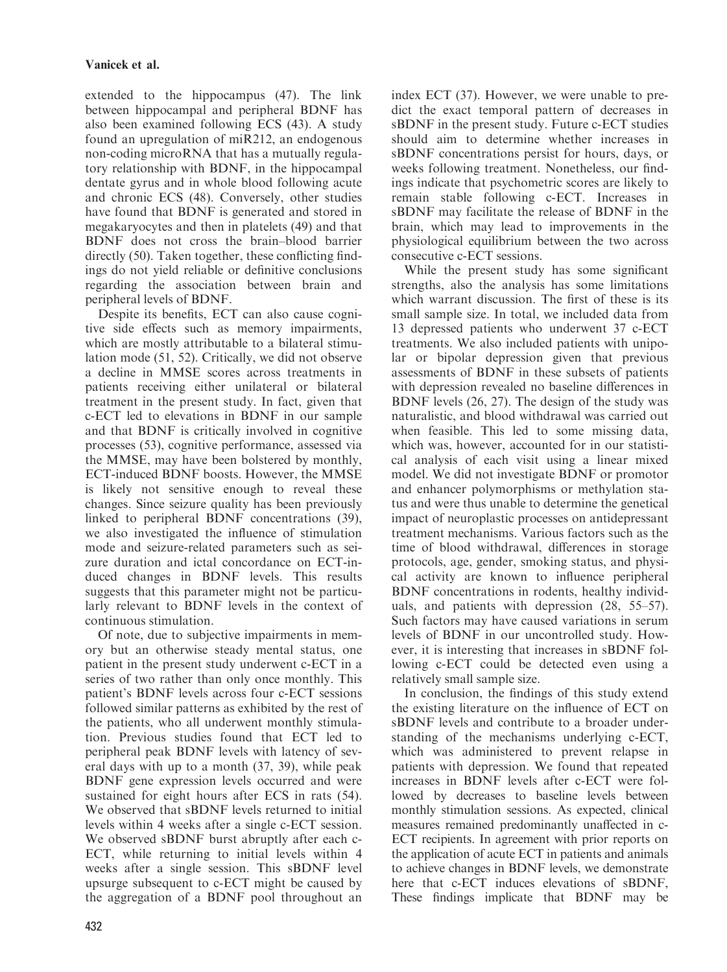extended to the hippocampus (47). The link between hippocampal and peripheral BDNF has also been examined following ECS (43). A study found an upregulation of miR212, an endogenous non-coding microRNA that has a mutually regulatory relationship with BDNF, in the hippocampal dentate gyrus and in whole blood following acute and chronic ECS (48). Conversely, other studies have found that BDNF is generated and stored in megakaryocytes and then in platelets (49) and that BDNF does not cross the brain–blood barrier directly (50). Taken together, these conflicting findings do not yield reliable or definitive conclusions regarding the association between brain and peripheral levels of BDNF.

Despite its benefits, ECT can also cause cognitive side effects such as memory impairments, which are mostly attributable to a bilateral stimulation mode (51, 52). Critically, we did not observe a decline in MMSE scores across treatments in patients receiving either unilateral or bilateral treatment in the present study. In fact, given that c-ECT led to elevations in BDNF in our sample and that BDNF is critically involved in cognitive processes (53), cognitive performance, assessed via the MMSE, may have been bolstered by monthly, ECT-induced BDNF boosts. However, the MMSE is likely not sensitive enough to reveal these changes. Since seizure quality has been previously linked to peripheral BDNF concentrations (39), we also investigated the influence of stimulation mode and seizure-related parameters such as seizure duration and ictal concordance on ECT-induced changes in BDNF levels. This results suggests that this parameter might not be particularly relevant to BDNF levels in the context of continuous stimulation.

Of note, due to subjective impairments in memory but an otherwise steady mental status, one patient in the present study underwent c-ECT in a series of two rather than only once monthly. This patient's BDNF levels across four c-ECT sessions followed similar patterns as exhibited by the rest of the patients, who all underwent monthly stimulation. Previous studies found that ECT led to peripheral peak BDNF levels with latency of several days with up to a month (37, 39), while peak BDNF gene expression levels occurred and were sustained for eight hours after ECS in rats (54). We observed that sBDNF levels returned to initial levels within 4 weeks after a single c-ECT session. We observed sBDNF burst abruptly after each c-ECT, while returning to initial levels within 4 weeks after a single session. This sBDNF level upsurge subsequent to c-ECT might be caused by the aggregation of a BDNF pool throughout an index ECT (37). However, we were unable to predict the exact temporal pattern of decreases in sBDNF in the present study. Future c-ECT studies should aim to determine whether increases in sBDNF concentrations persist for hours, days, or weeks following treatment. Nonetheless, our findings indicate that psychometric scores are likely to remain stable following c-ECT. Increases in sBDNF may facilitate the release of BDNF in the brain, which may lead to improvements in the physiological equilibrium between the two across consecutive c-ECT sessions.

While the present study has some significant strengths, also the analysis has some limitations which warrant discussion. The first of these is its small sample size. In total, we included data from 13 depressed patients who underwent 37 c-ECT treatments. We also included patients with unipolar or bipolar depression given that previous assessments of BDNF in these subsets of patients with depression revealed no baseline differences in BDNF levels (26, 27). The design of the study was naturalistic, and blood withdrawal was carried out when feasible. This led to some missing data, which was, however, accounted for in our statistical analysis of each visit using a linear mixed model. We did not investigate BDNF or promotor and enhancer polymorphisms or methylation status and were thus unable to determine the genetical impact of neuroplastic processes on antidepressant treatment mechanisms. Various factors such as the time of blood withdrawal, differences in storage protocols, age, gender, smoking status, and physical activity are known to influence peripheral BDNF concentrations in rodents, healthy individuals, and patients with depression (28, 55–57). Such factors may have caused variations in serum levels of BDNF in our uncontrolled study. However, it is interesting that increases in sBDNF following c-ECT could be detected even using a relatively small sample size.

In conclusion, the findings of this study extend the existing literature on the influence of ECT on sBDNF levels and contribute to a broader understanding of the mechanisms underlying c-ECT, which was administered to prevent relapse in patients with depression. We found that repeated increases in BDNF levels after c-ECT were followed by decreases to baseline levels between monthly stimulation sessions. As expected, clinical measures remained predominantly unaffected in c-ECT recipients. In agreement with prior reports on the application of acute ECT in patients and animals to achieve changes in BDNF levels, we demonstrate here that c-ECT induces elevations of sBDNF, These findings implicate that BDNF may be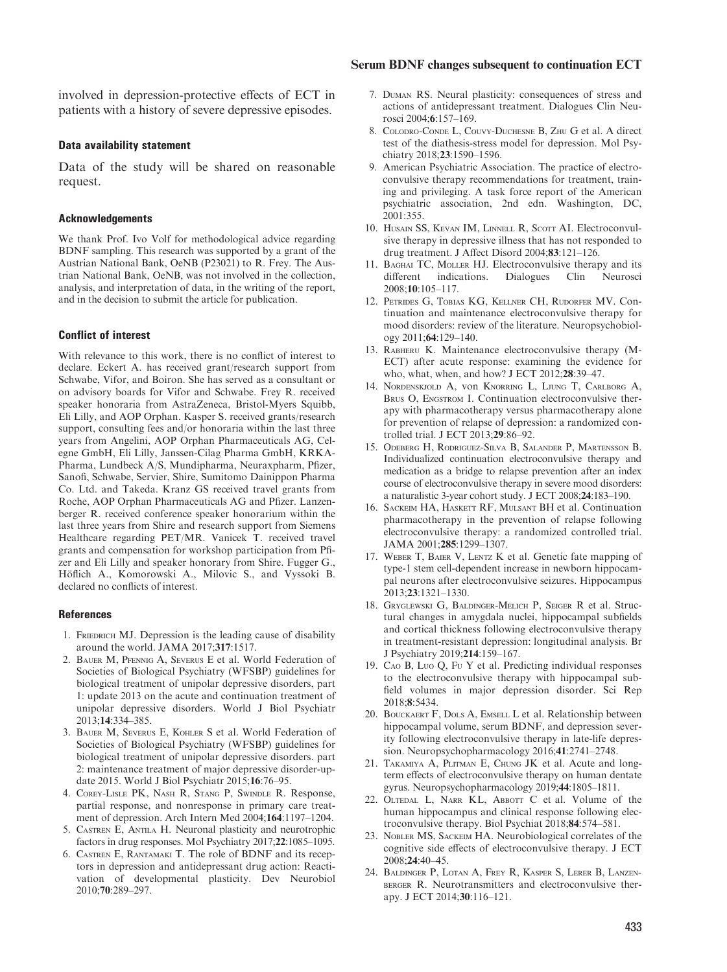#### Serum BDNF changes subsequent to continuation ECT

involved in depression-protective effects of ECT in patients with a history of severe depressive episodes.

#### Data availability statement

Data of the study will be shared on reasonable request.

#### Acknowledgements

We thank Prof. Ivo Volf for methodological advice regarding BDNF sampling. This research was supported by a grant of the Austrian National Bank, OeNB (P23021) to R. Frey. The Austrian National Bank, OeNB, was not involved in the collection, analysis, and interpretation of data, in the writing of the report, and in the decision to submit the article for publication.

#### Conflict of interest

With relevance to this work, there is no conflict of interest to declare. Eckert A. has received grant/research support from Schwabe, Vifor, and Boiron. She has served as a consultant or on advisory boards for Vifor and Schwabe. Frey R. received speaker honoraria from AstraZeneca, Bristol-Myers Squibb, Eli Lilly, and AOP Orphan. Kasper S. received grants/research support, consulting fees and/or honoraria within the last three years from Angelini, AOP Orphan Pharmaceuticals AG, Celegne GmbH, Eli Lilly, Janssen-Cilag Pharma GmbH, KRKA-Pharma, Lundbeck A/S, Mundipharma, Neuraxpharm, Pfizer, Sanofi, Schwabe, Servier, Shire, Sumitomo Dainippon Pharma Co. Ltd. and Takeda. Kranz GS received travel grants from Roche, AOP Orphan Pharmaceuticals AG and Pfizer. Lanzenberger R. received conference speaker honorarium within the last three years from Shire and research support from Siemens Healthcare regarding PET/MR. Vanicek T. received travel grants and compensation for workshop participation from Pfizer and Eli Lilly and speaker honorary from Shire. Fugger G., Höflich A., Komorowski A., Milovic S., and Vyssoki B. declared no conflicts of interest.

#### **References**

- 1. FRIEDRICH MJ. Depression is the leading cause of disability around the world. JAMA 2017;317:1517.
- 2. Bauer M, Pfennig A, Severus E et al. World Federation of Societies of Biological Psychiatry (WFSBP) guidelines for biological treatment of unipolar depressive disorders, part 1: update 2013 on the acute and continuation treatment of unipolar depressive disorders. World J Biol Psychiatr 2013;14:334–385.
- 3. Bauer M, Severus E, Kohler S et al. World Federation of Societies of Biological Psychiatry (WFSBP) guidelines for biological treatment of unipolar depressive disorders. part 2: maintenance treatment of major depressive disorder-update 2015. World J Biol Psychiatr 2015;16:76–95.
- 4. Corey-Lisle PK, Nash R, Stang P, Swindle R. Response, partial response, and nonresponse in primary care treatment of depression. Arch Intern Med 2004;164:1197–1204.
- 5. Castren E, Antila H. Neuronal plasticity and neurotrophic factors in drug responses. Mol Psychiatry 2017;22:1085–1095.
- 6. Castren E, Rantamaki T. The role of BDNF and its receptors in depression and antidepressant drug action: Reactivation of developmental plasticity. Dev Neurobiol 2010;70:289–297.
- 7. Duman RS. Neural plasticity: consequences of stress and actions of antidepressant treatment. Dialogues Clin Neurosci 2004;6:157–169.
- 8. Colodro-Conde L, Couvy-Duchesne B, Zhu G et al. A direct test of the diathesis-stress model for depression. Mol Psychiatry 2018;23:1590–1596.
- 9. American Psychiatric Association. The practice of electroconvulsive therapy recommendations for treatment, training and privileging. A task force report of the American psychiatric association, 2nd edn. Washington, DC, 2001:355.
- 10. HUSAIN SS, KEVAN IM, LINNELL R, SCOTT AI. Electroconvulsive therapy in depressive illness that has not responded to drug treatment. J Affect Disord 2004;83:121–126.
- 11. Baghai TC, Moller HJ. Electroconvulsive therapy and its different indications. Dialogues Clin Neurosci 2008;10:105–117.
- 12. Petrides G, Tobias KG, Kellner CH, Rudorfer MV. Continuation and maintenance electroconvulsive therapy for mood disorders: review of the literature. Neuropsychobiology 2011;64:129–140.
- 13. Rabheru K. Maintenance electroconvulsive therapy (M-ECT) after acute response: examining the evidence for who, what, when, and how? J ECT 2012;28:39–47.
- 14. Nordenskjold A, von Knorring L, Ljung T, Carlborg A, BRUS O, ENGSTROM I. Continuation electroconvulsive therapy with pharmacotherapy versus pharmacotherapy alone for prevention of relapse of depression: a randomized controlled trial. J ECT 2013;29:86–92.
- 15. Odeberg H, Rodriguez-Silva B, Salander P, Martensson B. Individualized continuation electroconvulsive therapy and medication as a bridge to relapse prevention after an index course of electroconvulsive therapy in severe mood disorders: a naturalistic 3-year cohort study. J ECT 2008;24:183–190.
- 16. SACKEIM HA, HASKETT RF, MULSANT BH et al. Continuation pharmacotherapy in the prevention of relapse following electroconvulsive therapy: a randomized controlled trial. JAMA 2001;285:1299–1307.
- 17. WEBER T, BAIER V, LENTZ K et al. Genetic fate mapping of type-1 stem cell-dependent increase in newborn hippocampal neurons after electroconvulsive seizures. Hippocampus 2013;23:1321–1330.
- 18. Gryglewski G, Baldinger-Melich P, Seiger R et al. Structural changes in amygdala nuclei, hippocampal subfields and cortical thickness following electroconvulsive therapy in treatment-resistant depression: longitudinal analysis. Br J Psychiatry 2019;214:159–167.
- 19. Cao B, Luo Q, Fu Y et al. Predicting individual responses to the electroconvulsive therapy with hippocampal subfield volumes in major depression disorder. Sci Rep 2018;8:5434.
- 20. Bouckaert F, Dols A, Emsell L et al. Relationship between hippocampal volume, serum BDNF, and depression severity following electroconvulsive therapy in late-life depression. Neuropsychopharmacology 2016;41:2741–2748.
- 21. Takamiya A, Plitman E, Chung JK et al. Acute and longterm effects of electroconvulsive therapy on human dentate gyrus. Neuropsychopharmacology 2019;44:1805–1811.
- 22. OLTEDAL L, NARR KL, ABBOTT C et al. Volume of the human hippocampus and clinical response following electroconvulsive therapy. Biol Psychiat 2018;84:574–581.
- 23. Nobler MS, Sackeim HA. Neurobiological correlates of the cognitive side effects of electroconvulsive therapy. J ECT 2008;24:40–45.
- 24. Baldinger P, Lotan A, Frey R, Kasper S, Lerer B, Lanzenberger R. Neurotransmitters and electroconvulsive therapy. J ECT 2014;30:116–121.